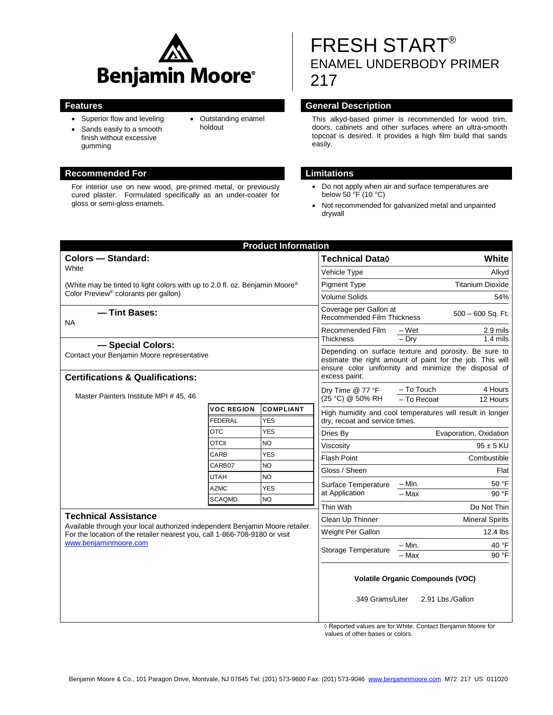

 Outstanding enamel holdout

- Superior flow and leveling
- Sands easily to a smooth finish without excessive gumming

#### **Recommended For Limitations**

For interior use on new wood, pre-primed metal, or previously cured plaster. Formulated specifically as an under-coater for gloss or semi-gloss enamels.

# FRESH START® ENAMEL UNDERBODY PRIMER 217

### **Features General Description**

This alkyd-based primer is recommended for wood trim, doors, cabinets and other surfaces where an ultra-smooth topcoat is desired. It provides a high film build that sands easily.

- Do not apply when air and surface temperatures are below 50 °F (10 °C)
- Not recommended for galvanized metal and unpainted drywall

| <b>Product Information</b>                                                                                                                                                                                         |                              |                         |                                                                                                                                                                            |                                                  |
|--------------------------------------------------------------------------------------------------------------------------------------------------------------------------------------------------------------------|------------------------------|-------------------------|----------------------------------------------------------------------------------------------------------------------------------------------------------------------------|--------------------------------------------------|
| <b>Colors - Standard:</b>                                                                                                                                                                                          |                              |                         | <b>Technical Data</b> ♦                                                                                                                                                    | White                                            |
| White                                                                                                                                                                                                              |                              |                         | Vehicle Type                                                                                                                                                               | Alkyd                                            |
| (White may be tinted to light colors with up to 2.0 fl. oz. Benjamin Moore <sup>®</sup><br>Color Preview <sup>®</sup> colorants per gallon)                                                                        |                              |                         | <b>Pigment Type</b>                                                                                                                                                        | <b>Titanium Dioxide</b>                          |
|                                                                                                                                                                                                                    |                              |                         | <b>Volume Solids</b>                                                                                                                                                       | 54%                                              |
| - Tint Bases:<br><b>NA</b>                                                                                                                                                                                         |                              |                         | Coverage per Gallon at<br><b>Recommended Film Thickness</b>                                                                                                                | $500 - 600$ Sq. Ft.                              |
|                                                                                                                                                                                                                    |                              |                         | Recommended Film<br><b>Thickness</b>                                                                                                                                       | 2.9 mils<br>– Wet                                |
| - Special Colors:                                                                                                                                                                                                  |                              |                         |                                                                                                                                                                            | $-$ Drv<br>$1.4$ mils                            |
| Contact your Benjamin Moore representative                                                                                                                                                                         |                              |                         | Depending on surface texture and porosity. Be sure to<br>estimate the right amount of paint for the job. This will<br>ensure color uniformity and minimize the disposal of |                                                  |
| <b>Certifications &amp; Qualifications:</b>                                                                                                                                                                        |                              |                         | excess paint.                                                                                                                                                              |                                                  |
| Master Painters Institute MPI # 45, 46                                                                                                                                                                             |                              |                         | Dry Time @ 77 °F<br>(25 °C) @ 50% RH                                                                                                                                       | - To Touch<br>4 Hours<br>- To Recoat<br>12 Hours |
|                                                                                                                                                                                                                    | <b>VOC REGION</b>            | <b>COMPLIANT</b>        | High humidity and cool temperatures will result in longer                                                                                                                  |                                                  |
|                                                                                                                                                                                                                    | <b>FEDERAL</b>               | <b>YES</b>              | dry, recoat and service times.                                                                                                                                             |                                                  |
|                                                                                                                                                                                                                    | <b>OTC</b>                   | <b>YES</b>              | Dries By                                                                                                                                                                   | Evaporation, Oxidation                           |
|                                                                                                                                                                                                                    | <b>OTCII</b>                 | NO                      | Viscosity                                                                                                                                                                  | $95 \pm 5$ KU                                    |
|                                                                                                                                                                                                                    | CARB                         | <b>YES</b>              | <b>Flash Point</b>                                                                                                                                                         | Combustible                                      |
|                                                                                                                                                                                                                    | CARB07                       | NO                      | Gloss / Sheen                                                                                                                                                              | Flat                                             |
|                                                                                                                                                                                                                    | <b>UTAH</b>                  | NO                      | Surface Temperature<br>at Application                                                                                                                                      | 50 °F<br>– Min.                                  |
|                                                                                                                                                                                                                    | <b>AZMC</b><br><b>SCAQMD</b> | <b>YES</b><br><b>NO</b> |                                                                                                                                                                            | $-Max$<br>90 °F                                  |
|                                                                                                                                                                                                                    |                              |                         | Thin With                                                                                                                                                                  | Do Not Thin                                      |
| <b>Technical Assistance</b><br>Available through your local authorized independent Benjamin Moore retailer.<br>For the location of the retailer nearest you, call 1-866-708-9180 or visit<br>www.benjaminmoore.com |                              |                         | Clean Up Thinner                                                                                                                                                           | <b>Mineral Spirits</b>                           |
|                                                                                                                                                                                                                    |                              |                         | Weight Per Gallon                                                                                                                                                          | 12.4 lbs                                         |
|                                                                                                                                                                                                                    |                              |                         |                                                                                                                                                                            | 40 °F<br>– Min.                                  |
|                                                                                                                                                                                                                    |                              |                         | Storage Temperature                                                                                                                                                        | $-$ Max<br>90 °F                                 |
|                                                                                                                                                                                                                    |                              |                         | <b>Volatile Organic Compounds (VOC)</b><br>349 Grams/Liter<br>2.91 Lbs./Gallon                                                                                             |                                                  |
|                                                                                                                                                                                                                    |                              |                         |                                                                                                                                                                            |                                                  |

◊ Reported values are for White. Contact Benjamin Moore for values of other bases or colors.